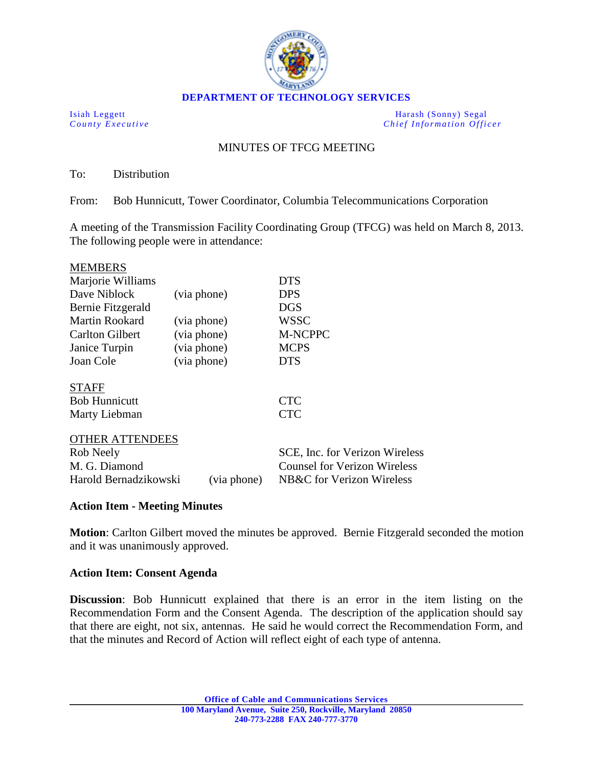

Isiah Leggett Harash (Sonny) Segal<br>
County Executive Chief Information Office *Chief Information Officer* 

## MINUTES OF TFCG MEETING

To: Distribution

From: Bob Hunnicutt, Tower Coordinator, Columbia Telecommunications Corporation

A meeting of the Transmission Facility Coordinating Group (TFCG) was held on March 8, 2013. The following people were in attendance:

| <b>MEMBERS</b>                        |             |                                |  |
|---------------------------------------|-------------|--------------------------------|--|
| Marjorie Williams                     |             | <b>DTS</b>                     |  |
| Dave Niblock                          | (via phone) | <b>DPS</b>                     |  |
| Bernie Fitzgerald                     |             | <b>DGS</b>                     |  |
| Martin Rookard                        | (via phone) | WSSC                           |  |
| <b>Carlton Gilbert</b><br>(via phone) |             | <b>M-NCPPC</b>                 |  |
| Janice Turpin<br>(via phone)          |             | <b>MCPS</b>                    |  |
| Joan Cole                             | (via phone) | <b>DTS</b>                     |  |
| <b>STAFF</b>                          |             |                                |  |
| <b>Bob Hunnicutt</b>                  |             | <b>CTC</b>                     |  |
| Marty Liebman                         |             | <b>CTC</b>                     |  |
| <b>OTHER ATTENDEES</b>                |             |                                |  |
| Rob Neely                             |             | SCE, Inc. for Verizon Wireless |  |
| M. G. Diamond                         |             | Counsel for Verizon Wireless   |  |
| Harold Bernadzikowski                 | (via phone) | NB&C for Verizon Wireless      |  |

#### **Action Item - Meeting Minutes**

**Motion**: Carlton Gilbert moved the minutes be approved. Bernie Fitzgerald seconded the motion and it was unanimously approved.

#### **Action Item: Consent Agenda**

**Discussion**: Bob Hunnicutt explained that there is an error in the item listing on the Recommendation Form and the Consent Agenda. The description of the application should say that there are eight, not six, antennas. He said he would correct the Recommendation Form, and that the minutes and Record of Action will reflect eight of each type of antenna.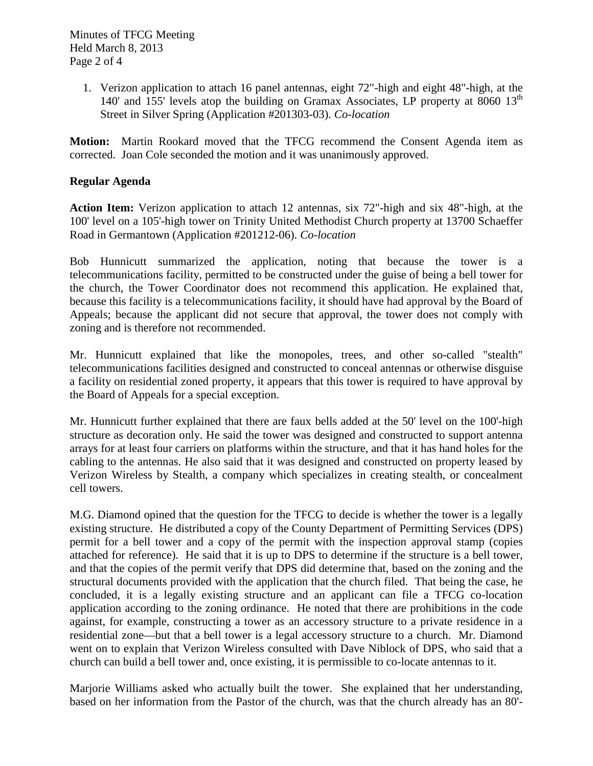1. Verizon application to attach 16 panel antennas, eight 72"-high and eight 48"-high, at the 140' and 155' levels atop the building on Gramax Associates, LP property at 8060  $13<sup>th</sup>$ Street in Silver Spring (Application #201303-03). *Co-location*

**Motion:** Martin Rookard moved that the TFCG recommend the Consent Agenda item as corrected. Joan Cole seconded the motion and it was unanimously approved.

#### **Regular Agenda**

**Action Item:** Verizon application to attach 12 antennas, six 72"-high and six 48"-high, at the 100' level on a 105'-high tower on Trinity United Methodist Church property at 13700 Schaeffer Road in Germantown (Application #201212-06). *Co-location*

Bob Hunnicutt summarized the application, noting that because the tower is a telecommunications facility, permitted to be constructed under the guise of being a bell tower for the church, the Tower Coordinator does not recommend this application. He explained that, because this facility is a telecommunications facility, it should have had approval by the Board of Appeals; because the applicant did not secure that approval, the tower does not comply with zoning and is therefore not recommended.

Mr. Hunnicutt explained that like the monopoles, trees, and other so-called "stealth" telecommunications facilities designed and constructed to conceal antennas or otherwise disguise a facility on residential zoned property, it appears that this tower is required to have approval by the Board of Appeals for a special exception.

Mr. Hunnicutt further explained that there are faux bells added at the 50' level on the 100'-high structure as decoration only. He said the tower was designed and constructed to support antenna arrays for at least four carriers on platforms within the structure, and that it has hand holes for the cabling to the antennas. He also said that it was designed and constructed on property leased by Verizon Wireless by Stealth, a company which specializes in creating stealth, or concealment cell towers.

M.G. Diamond opined that the question for the TFCG to decide is whether the tower is a legally existing structure. He distributed a copy of the County Department of Permitting Services (DPS) permit for a bell tower and a copy of the permit with the inspection approval stamp (copies attached for reference). He said that it is up to DPS to determine if the structure is a bell tower, and that the copies of the permit verify that DPS did determine that, based on the zoning and the structural documents provided with the application that the church filed. That being the case, he concluded, it is a legally existing structure and an applicant can file a TFCG co-location application according to the zoning ordinance. He noted that there are prohibitions in the code against, for example, constructing a tower as an accessory structure to a private residence in a residential zone—but that a bell tower is a legal accessory structure to a church. Mr. Diamond went on to explain that Verizon Wireless consulted with Dave Niblock of DPS, who said that a church can build a bell tower and, once existing, it is permissible to co-locate antennas to it.

Marjorie Williams asked who actually built the tower. She explained that her understanding, based on her information from the Pastor of the church, was that the church already has an 80'-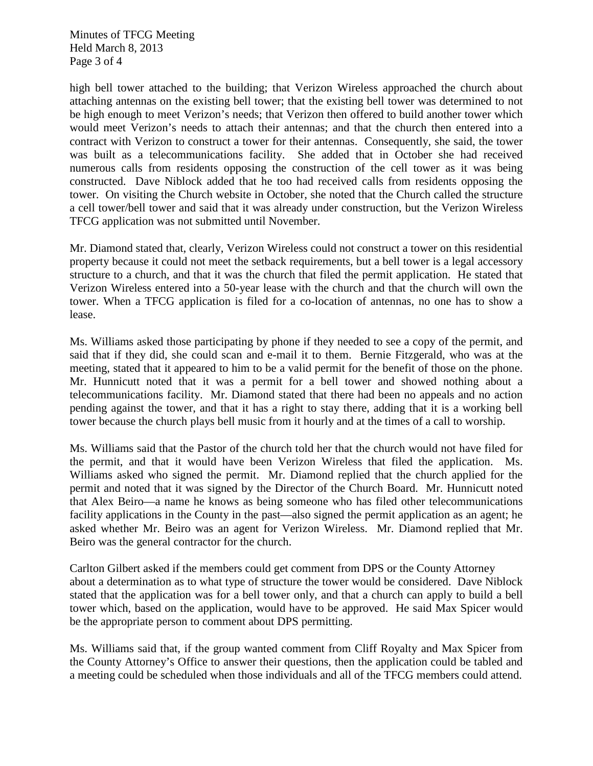Minutes of TFCG Meeting Held March 8, 2013 Page 3 of 4

high bell tower attached to the building; that Verizon Wireless approached the church about attaching antennas on the existing bell tower; that the existing bell tower was determined to not be high enough to meet Verizon's needs; that Verizon then offered to build another tower which would meet Verizon's needs to attach their antennas; and that the church then entered into a contract with Verizon to construct a tower for their antennas. Consequently, she said, the tower was built as a telecommunications facility. She added that in October she had received numerous calls from residents opposing the construction of the cell tower as it was being constructed. Dave Niblock added that he too had received calls from residents opposing the tower. On visiting the Church website in October, she noted that the Church called the structure a cell tower/bell tower and said that it was already under construction, but the Verizon Wireless TFCG application was not submitted until November.

Mr. Diamond stated that, clearly, Verizon Wireless could not construct a tower on this residential property because it could not meet the setback requirements, but a bell tower is a legal accessory structure to a church, and that it was the church that filed the permit application. He stated that Verizon Wireless entered into a 50-year lease with the church and that the church will own the tower. When a TFCG application is filed for a co-location of antennas, no one has to show a lease.

Ms. Williams asked those participating by phone if they needed to see a copy of the permit, and said that if they did, she could scan and e-mail it to them. Bernie Fitzgerald, who was at the meeting, stated that it appeared to him to be a valid permit for the benefit of those on the phone. Mr. Hunnicutt noted that it was a permit for a bell tower and showed nothing about a telecommunications facility. Mr. Diamond stated that there had been no appeals and no action pending against the tower, and that it has a right to stay there, adding that it is a working bell tower because the church plays bell music from it hourly and at the times of a call to worship.

Ms. Williams said that the Pastor of the church told her that the church would not have filed for the permit, and that it would have been Verizon Wireless that filed the application. Ms. Williams asked who signed the permit. Mr. Diamond replied that the church applied for the permit and noted that it was signed by the Director of the Church Board. Mr. Hunnicutt noted that Alex Beiro—a name he knows as being someone who has filed other telecommunications facility applications in the County in the past—also signed the permit application as an agent; he asked whether Mr. Beiro was an agent for Verizon Wireless. Mr. Diamond replied that Mr. Beiro was the general contractor for the church.

Carlton Gilbert asked if the members could get comment from DPS or the County Attorney about a determination as to what type of structure the tower would be considered. Dave Niblock stated that the application was for a bell tower only, and that a church can apply to build a bell tower which, based on the application, would have to be approved. He said Max Spicer would be the appropriate person to comment about DPS permitting.

Ms. Williams said that, if the group wanted comment from Cliff Royalty and Max Spicer from the County Attorney's Office to answer their questions, then the application could be tabled and a meeting could be scheduled when those individuals and all of the TFCG members could attend.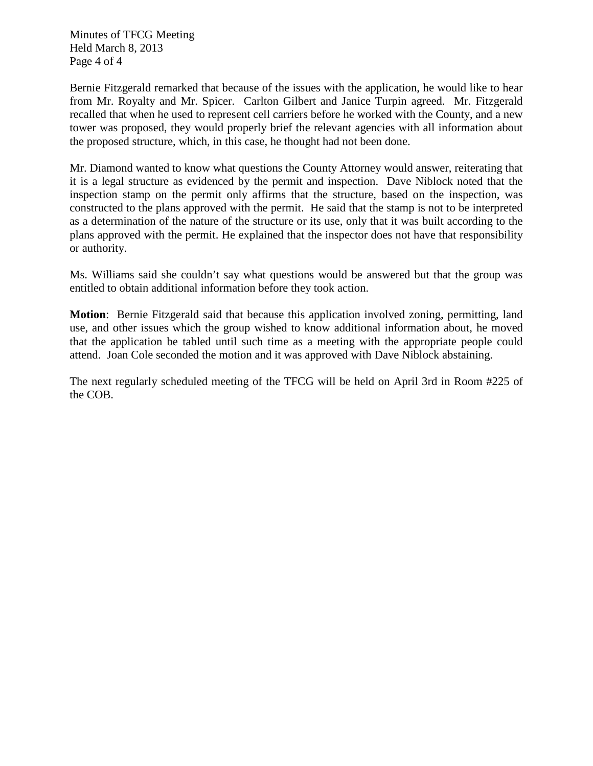Minutes of TFCG Meeting Held March 8, 2013 Page 4 of 4

Bernie Fitzgerald remarked that because of the issues with the application, he would like to hear from Mr. Royalty and Mr. Spicer. Carlton Gilbert and Janice Turpin agreed. Mr. Fitzgerald recalled that when he used to represent cell carriers before he worked with the County, and a new tower was proposed, they would properly brief the relevant agencies with all information about the proposed structure, which, in this case, he thought had not been done.

Mr. Diamond wanted to know what questions the County Attorney would answer, reiterating that it is a legal structure as evidenced by the permit and inspection. Dave Niblock noted that the inspection stamp on the permit only affirms that the structure, based on the inspection, was constructed to the plans approved with the permit. He said that the stamp is not to be interpreted as a determination of the nature of the structure or its use, only that it was built according to the plans approved with the permit. He explained that the inspector does not have that responsibility or authority.

Ms. Williams said she couldn't say what questions would be answered but that the group was entitled to obtain additional information before they took action.

**Motion**: Bernie Fitzgerald said that because this application involved zoning, permitting, land use, and other issues which the group wished to know additional information about, he moved that the application be tabled until such time as a meeting with the appropriate people could attend. Joan Cole seconded the motion and it was approved with Dave Niblock abstaining.

The next regularly scheduled meeting of the TFCG will be held on April 3rd in Room #225 of the COB.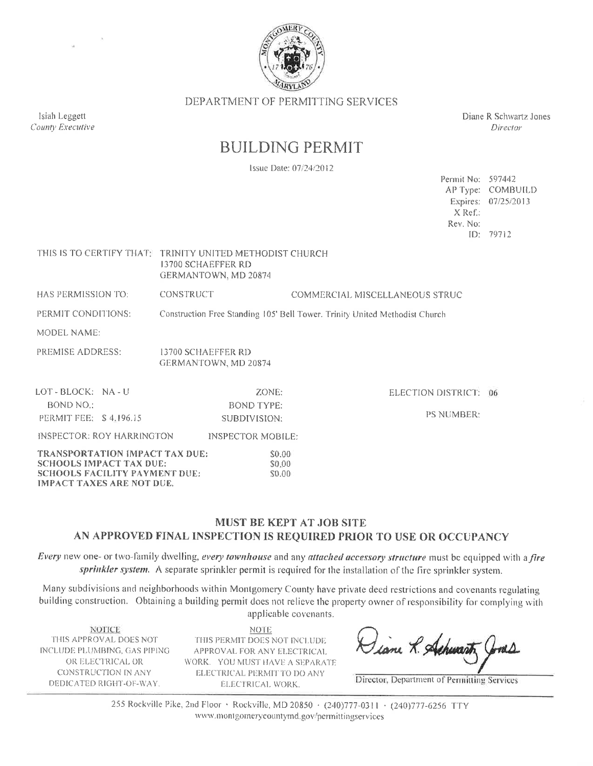

DEPARTMENT OF PERMITTING SERVICES

Diane R Schwartz Jones Director

Permit No: 597442 AP Type: COMBUILD Expires: 07/25/2013

## **BUILDING PERMIT**

Issue Date: 07/24/2012

|                                                                                                                 |                                                                                                        | X Ref.:<br>Rev. No:            | ID: 79712 |
|-----------------------------------------------------------------------------------------------------------------|--------------------------------------------------------------------------------------------------------|--------------------------------|-----------|
|                                                                                                                 | THIS IS TO CERTIFY THAT: TRINITY UNITED METHODIST CHURCH<br>13700 SCHAEFFER RD<br>GERMANTOWN, MD 20874 |                                |           |
| HAS PERMISSION TO:                                                                                              | <b>CONSTRUCT</b>                                                                                       | COMMERCIAL MISCELLANEOUS STRUC |           |
| PERMIT CONDITIONS:                                                                                              | Construction Free Standing 105' Bell Tower. Trinity United Methodist Church                            |                                |           |
| <b>MODEL NAME:</b>                                                                                              |                                                                                                        |                                |           |
| PREMISE ADDRESS:                                                                                                | 13700 SCHAEFFER RD<br>GERMANTOWN, MD 20874                                                             |                                |           |
| LOT-BLOCK: NA-U                                                                                                 | ZONE:                                                                                                  | ELECTION DISTRICT: 06          |           |
| BOND NO.:<br>PERMIT FEE: \$4,196.15                                                                             | <b>BOND TYPE:</b><br>SUBDIVISION:                                                                      | <b>PS NUMBER:</b>              |           |
| INSPECTOR: ROY HARRINGTON                                                                                       | <b>INSPECTOR MOBILE:</b>                                                                               |                                |           |
| <b>TRANSPORTATION IMPACT TAX DUE:</b><br><b>SCHOOLS IMPACT TAX DUE:</b><br><b>SCHOOLS FACILITY PAYMENT DUE:</b> | \$0.00<br>\$0.00<br>\$0.00                                                                             |                                |           |

## MUST BE KEPT AT JOB SITE AN APPROVED FINAL INSPECTION IS REQUIRED PRIOR TO USE OR OCCUPANCY

Every new one- or two-family dwelling, every townhouse and any attached accessory structure must be equipped with a fire sprinkler system. A separate sprinkler permit is required for the installation of the fire sprinkler system.

Many subdivisions and neighborhoods within Montgomery County have private deed restrictions and covenants regulating building construction. Obtaining a building permit does not relieve the property owner of responsibility for complying with applicable covenants.

**NOTICE** THIS APPROVAL DOES NOT INCLUDE PLUMBING, GAS PIPING OR ELECTRICAL OR **CONSTRUCTION IN ANY** DEDICATED RIGHT-OF-WAY.

**IMPACT TAXES ARE NOT DUE.** 

Isiah Leggett

County Executive

**NOTE** THIS PERMIT DOES NOT INCLUDE APPROVAL FOR ANY ELECTRICAL WORK. YOU MUST HAVE A SEPARATE ELECTRICAL PERMIT TO DO ANY ELECTRICAL WORK.

Liane R. Achwarth

Director, Department of Permitting Services

255 Rockville Pike, 2nd Floor · Rockville, MD 20850 · (240)777-0311 · (240)777-6256 TTY www.montgomerycountymd.gov/permittingservices